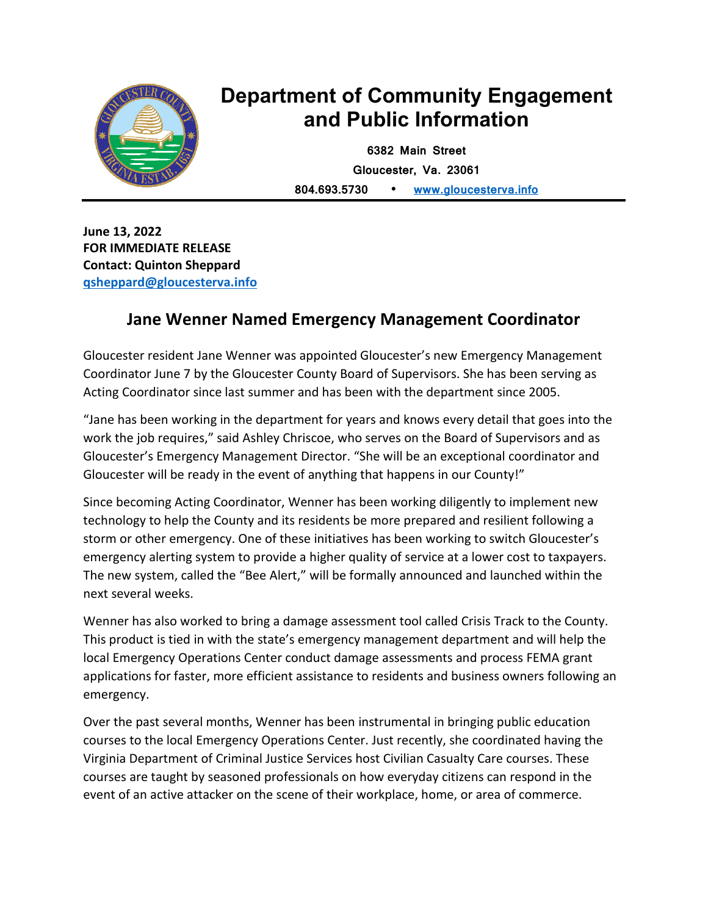

## **Department of Community Engagement and Public Information**

**6382 Main Street Gloucester, Va. 23061 804.693.5730 • [www.gloucesterva.info](http://www.gloucesterva.info/)**

**June 13, 2022 FOR IMMEDIATE RELEASE Contact: Quinton Sheppard [qsheppard@gloucesterva.info](mailto:qsheppard@gloucesterva.info)**

## **Jane Wenner Named Emergency Management Coordinator**

Gloucester resident Jane Wenner was appointed Gloucester's new Emergency Management Coordinator June 7 by the Gloucester County Board of Supervisors. She has been serving as Acting Coordinator since last summer and has been with the department since 2005.

"Jane has been working in the department for years and knows every detail that goes into the work the job requires," said Ashley Chriscoe, who serves on the Board of Supervisors and as Gloucester's Emergency Management Director. "She will be an exceptional coordinator and Gloucester will be ready in the event of anything that happens in our County!"

Since becoming Acting Coordinator, Wenner has been working diligently to implement new technology to help the County and its residents be more prepared and resilient following a storm or other emergency. One of these initiatives has been working to switch Gloucester's emergency alerting system to provide a higher quality of service at a lower cost to taxpayers. The new system, called the "Bee Alert," will be formally announced and launched within the next several weeks.

Wenner has also worked to bring a damage assessment tool called Crisis Track to the County. This product is tied in with the state's emergency management department and will help the local Emergency Operations Center conduct damage assessments and process FEMA grant applications for faster, more efficient assistance to residents and business owners following an emergency.

Over the past several months, Wenner has been instrumental in bringing public education courses to the local Emergency Operations Center. Just recently, she coordinated having the Virginia Department of Criminal Justice Services host Civilian Casualty Care courses. These courses are taught by seasoned professionals on how everyday citizens can respond in the event of an active attacker on the scene of their workplace, home, or area of commerce.